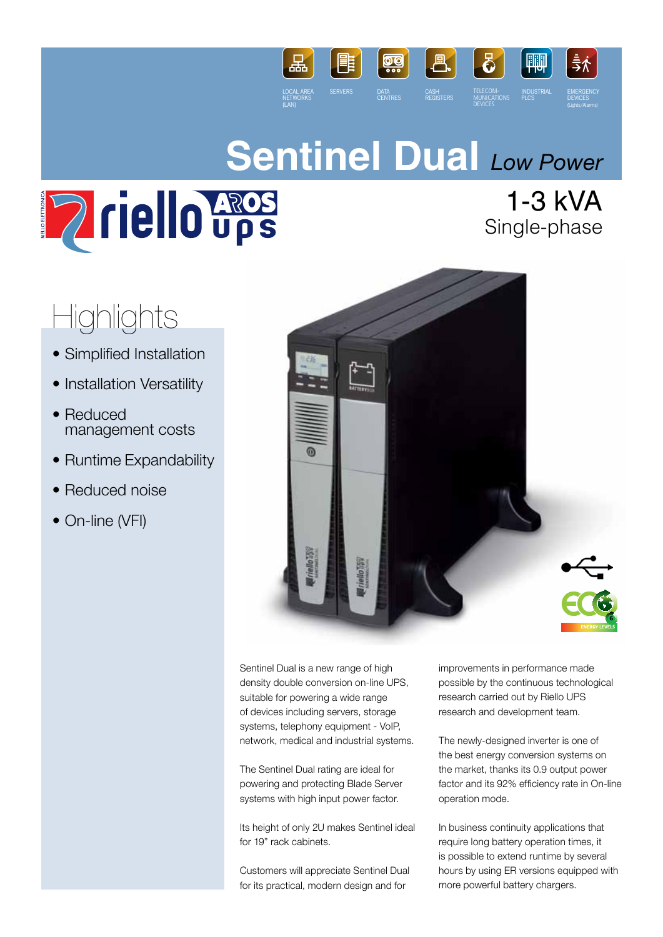

# **Sentinel Dual** *Low Power*



1-3 kVA Single-phase

# Highlights

- Simplified Installation
- Installation Versatility
- Reduced management costs
- Runtime Expandability
- Reduced noise
- On-line (VFI)



Sentinel Dual is a new range of high density double conversion on-line UPS, suitable for powering a wide range of devices including servers, storage systems, telephony equipment - VoIP, network, medical and industrial systems.

The Sentinel Dual rating are ideal for powering and protecting Blade Server systems with high input power factor.

Its height of only 2U makes Sentinel ideal for 19" rack cabinets.

Customers will appreciate Sentinel Dual for its practical, modern design and for

improvements in performance made possible by the continuous technological research carried out by Riello UPS research and development team.

The newly-designed inverter is one of the best energy conversion systems on the market, thanks its 0.9 output power factor and its 92% efficiency rate in On-line operation mode.

In business continuity applications that require long battery operation times, it is possible to extend runtime by several hours by using ER versions equipped with more powerful battery chargers.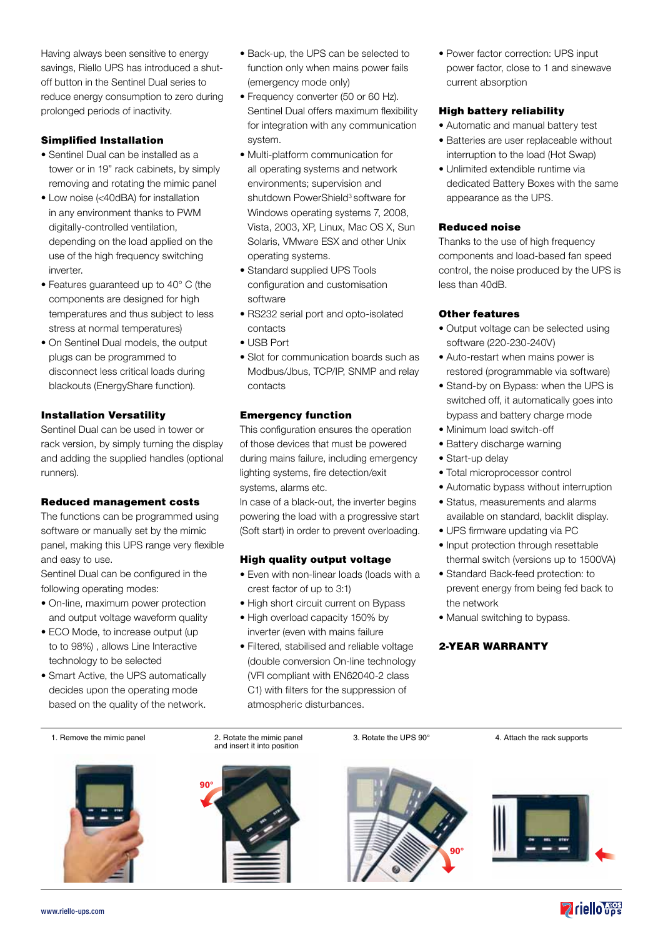Having always been sensitive to energy savings, Riello UPS has introduced a shutoff button in the Sentinel Dual series to reduce energy consumption to zero during prolonged periods of inactivity.

# Simplified Installation

- Sentinel Dual can be installed as a tower or in 19" rack cabinets, by simply removing and rotating the mimic panel
- Low noise (<40dBA) for installation in any environment thanks to PWM digitally-controlled ventilation, depending on the load applied on the use of the high frequency switching inverter.
- Features guaranteed up to 40° C (the components are designed for high temperatures and thus subject to less stress at normal temperatures)
- On Sentinel Dual models, the output plugs can be programmed to disconnect less critical loads during blackouts (EnergyShare function).

# Installation Versatility

Sentinel Dual can be used in tower or rack version, by simply turning the display and adding the supplied handles (optional runners).

#### Reduced management costs

The functions can be programmed using software or manually set by the mimic panel, making this UPS range very flexible and easy to use.

Sentinel Dual can be configured in the following operating modes:

- On-line, maximum power protection and output voltage waveform quality
- ECO Mode, to increase output (up to to 98%) , allows Line Interactive technology to be selected
- Smart Active, the UPS automatically decides upon the operating mode based on the quality of the network.
- Back-up, the UPS can be selected to function only when mains power fails (emergency mode only)
- Frequency converter (50 or 60 Hz). Sentinel Dual offers maximum flexibility for integration with any communication system.
- Multi-platform communication for all operating systems and network environments; supervision and shutdown PowerShield<sup>3</sup> software for Windows operating systems 7, 2008, Vista, 2003, XP, Linux, Mac OS X, Sun Solaris, VMware ESX and other Unix operating systems.
- Standard supplied UPS Tools configuration and customisation software
- RS232 serial port and opto-isolated contacts
- USB Port
- Slot for communication boards such as Modbus/Jbus, TCP/IP, SNMP and relay contacts

#### Emergency function

This configuration ensures the operation of those devices that must be powered during mains failure, including emergency lighting systems, fire detection/exit systems, alarms etc.

In case of a black-out, the inverter begins powering the load with a progressive start (Soft start) in order to prevent overloading.

#### High quality output voltage

- Even with non-linear loads (loads with a crest factor of up to 3:1)
- High short circuit current on Bypass
- High overload capacity 150% by inverter (even with mains failure
- Filtered, stabilised and reliable voltage (double conversion On-line technology (VFI compliant with EN62040-2 class C1) with filters for the suppression of atmospheric disturbances.

• Power factor correction: UPS input power factor, close to 1 and sinewave current absorption

# High battery reliability

- Automatic and manual battery test
- Batteries are user replaceable without interruption to the load (Hot Swap)
- Unlimited extendible runtime via dedicated Battery Boxes with the same appearance as the UPS.

# Reduced noise

Thanks to the use of high frequency components and load-based fan speed control, the noise produced by the UPS is less than 40dB.

# Other features

- Output voltage can be selected using software (220-230-240V)
- Auto-restart when mains power is restored (programmable via software)
- Stand-by on Bypass: when the UPS is switched off, it automatically goes into bypass and battery charge mode
- Minimum load switch-off
- Battery discharge warning
- Start-up delay
- Total microprocessor control
- Automatic bypass without interruption
- Status, measurements and alarms available on standard, backlit display.
- UPS firmware updating via PC
- Input protection through resettable thermal switch (versions up to 1500VA)
- Standard Back-feed protection: to prevent energy from being fed back to the network
- Manual switching to bypass.

# 2-YEAR WARRANTY







3. Rotate the UPS 90° 4. Attach the rack supports



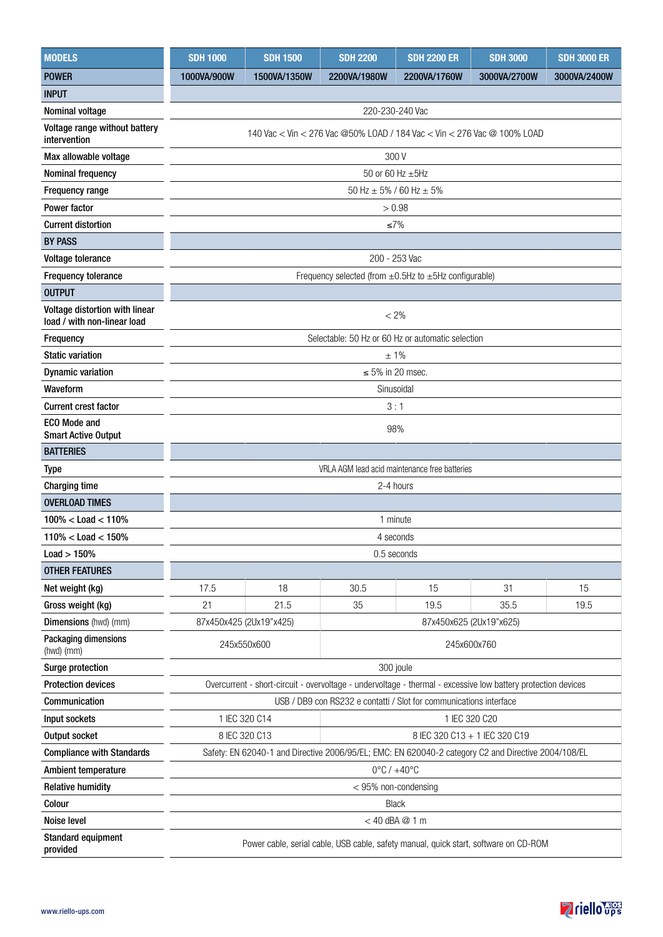| <b>MODELS</b>                                                 | <b>SDH 1000</b>                                                                                               | <b>SDH 1500</b> | <b>SDH 2200</b> | <b>SDH 2200 ER</b> | <b>SDH 3000</b> | <b>SDH 3000 ER</b> |  |
|---------------------------------------------------------------|---------------------------------------------------------------------------------------------------------------|-----------------|-----------------|--------------------|-----------------|--------------------|--|
| <b>POWER</b>                                                  | 1000VA/900W                                                                                                   | 1500VA/1350W    | 2200VA/1980W    | 2200VA/1760W       | 3000VA/2700W    | 3000VA/2400W       |  |
| <b>INPUT</b>                                                  |                                                                                                               |                 |                 |                    |                 |                    |  |
| Nominal voltage                                               |                                                                                                               |                 | 220-230-240 Vac |                    |                 |                    |  |
| Voltage range without battery<br>intervention                 | 140 Vac < Vin < 276 Vac @50% LOAD / 184 Vac < Vin < 276 Vac @ 100% LOAD                                       |                 |                 |                    |                 |                    |  |
| Max allowable voltage                                         |                                                                                                               |                 | 300 V           |                    |                 |                    |  |
| Nominal frequency                                             | 50 or 60 Hz ±5Hz                                                                                              |                 |                 |                    |                 |                    |  |
| <b>Frequency range</b>                                        | 50 Hz $\pm$ 5% / 60 Hz $\pm$ 5%                                                                               |                 |                 |                    |                 |                    |  |
| <b>Power factor</b>                                           | > 0.98                                                                                                        |                 |                 |                    |                 |                    |  |
| <b>Current distortion</b>                                     | $\leq 7\%$                                                                                                    |                 |                 |                    |                 |                    |  |
| <b>BY PASS</b>                                                |                                                                                                               |                 |                 |                    |                 |                    |  |
| Voltage tolerance                                             | 200 - 253 Vac                                                                                                 |                 |                 |                    |                 |                    |  |
| <b>Frequency tolerance</b>                                    | Frequency selected (from $\pm$ 0.5Hz to $\pm$ 5Hz configurable)                                               |                 |                 |                    |                 |                    |  |
| <b>OUTPUT</b>                                                 |                                                                                                               |                 |                 |                    |                 |                    |  |
| Voltage distortion with linear<br>load / with non-linear load | $< 2\%$                                                                                                       |                 |                 |                    |                 |                    |  |
| Frequency                                                     | Selectable: 50 Hz or 60 Hz or automatic selection                                                             |                 |                 |                    |                 |                    |  |
| <b>Static variation</b>                                       | ±1%                                                                                                           |                 |                 |                    |                 |                    |  |
| <b>Dynamic variation</b>                                      | $\leq 5\%$ in 20 msec.                                                                                        |                 |                 |                    |                 |                    |  |
| Waveform                                                      | Sinusoidal                                                                                                    |                 |                 |                    |                 |                    |  |
| <b>Current crest factor</b>                                   | 3:1                                                                                                           |                 |                 |                    |                 |                    |  |
| <b>ECO Mode and</b><br><b>Smart Active Output</b>             | 98%                                                                                                           |                 |                 |                    |                 |                    |  |
| <b>BATTERIES</b>                                              |                                                                                                               |                 |                 |                    |                 |                    |  |
| <b>Type</b>                                                   | VRLA AGM lead acid maintenance free batteries                                                                 |                 |                 |                    |                 |                    |  |
| <b>Charging time</b>                                          | 2-4 hours                                                                                                     |                 |                 |                    |                 |                    |  |
| <b>OVERLOAD TIMES</b>                                         |                                                                                                               |                 |                 |                    |                 |                    |  |
| $100\% <$ Load $<$ 110%                                       | 1 minute                                                                                                      |                 |                 |                    |                 |                    |  |
| $110\% <$ Load $<$ 150%                                       | 4 seconds                                                                                                     |                 |                 |                    |                 |                    |  |
| $Load > 150\%$                                                | 0.5 seconds                                                                                                   |                 |                 |                    |                 |                    |  |
| <b>OTHER FEATURES</b>                                         |                                                                                                               |                 |                 |                    |                 |                    |  |
| Net weight (kg)                                               | 17.5                                                                                                          | 18              | 30.5            | 15                 | 31              | 15                 |  |
| Gross weight (kg)                                             | 21                                                                                                            | 21.5            | 35              | 19.5               | 35.5            | 19.5               |  |
| Dimensions (hwd) (mm)                                         | 87x450x425 (2Ux19"x425)<br>87x450x625 (2Ux19"x625)                                                            |                 |                 |                    |                 |                    |  |
| Packaging dimensions<br>(hwd) (mm)                            | 245x550x600<br>245x600x760                                                                                    |                 |                 |                    |                 |                    |  |
| Surge protection                                              | 300 joule                                                                                                     |                 |                 |                    |                 |                    |  |
| <b>Protection devices</b>                                     | Overcurrent - short-circuit - overvoltage - undervoltage - thermal - excessive low battery protection devices |                 |                 |                    |                 |                    |  |
| Communication                                                 | USB / DB9 con RS232 e contatti / Slot for communications interface                                            |                 |                 |                    |                 |                    |  |
| Input sockets                                                 | 1 IEC 320 C14<br>1 IEC 320 C20                                                                                |                 |                 |                    |                 |                    |  |
| Output socket                                                 | 8 IEC 320 C13<br>8 IEC 320 C13 + 1 IEC 320 C19                                                                |                 |                 |                    |                 |                    |  |
| <b>Compliance with Standards</b>                              | Safety: EN 62040-1 and Directive 2006/95/EL; EMC: EN 620040-2 category C2 and Directive 2004/108/EL           |                 |                 |                    |                 |                    |  |
| Ambient temperature                                           | $0^{\circ}$ C / $+40^{\circ}$ C                                                                               |                 |                 |                    |                 |                    |  |
| <b>Relative humidity</b>                                      | < 95% non-condensing                                                                                          |                 |                 |                    |                 |                    |  |
| Colour                                                        | Black                                                                                                         |                 |                 |                    |                 |                    |  |
| Noise level                                                   | $<$ 40 dBA $@$ 1 m                                                                                            |                 |                 |                    |                 |                    |  |
| <b>Standard equipment</b><br>provided                         | Power cable, serial cable, USB cable, safety manual, quick start, software on CD-ROM                          |                 |                 |                    |                 |                    |  |